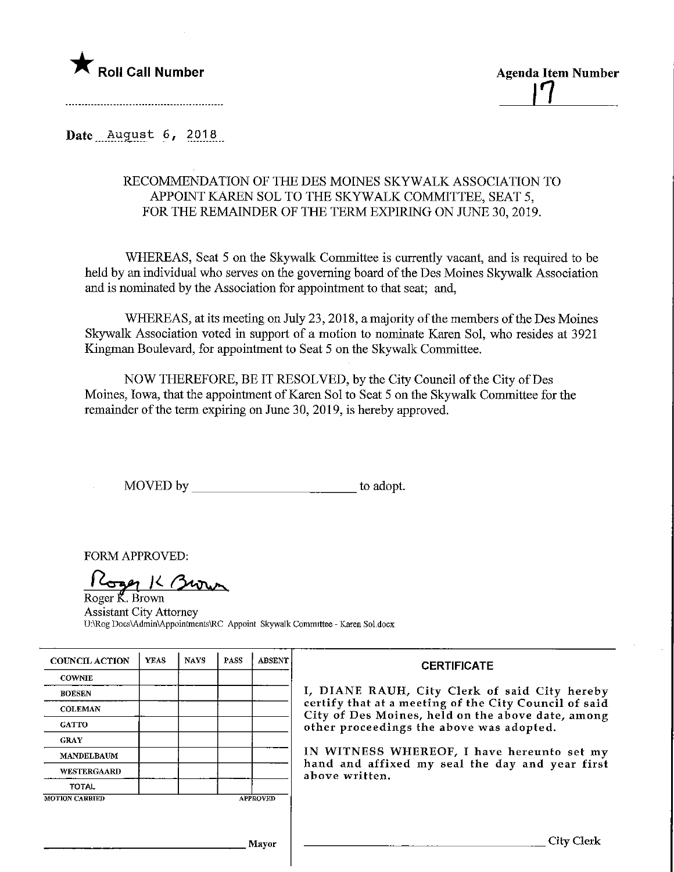

Roll Call Number<br>
item Agenda Item Number<br>
item Agenda Item Number

Date August 6, 2018

## RECOMMENDATION OF THE DES MOINES SKYWALK ASSOCIATION TO APPOINT KAREN SOL TO THE SKYWALK COMMITTEE, SEAT 5, FOR THE REMAINDER OF THE TERM EXPIRING ON JUNE 30, 2019.

WHEREAS, Seat 5 on the Skywalk Committee is currently vacant, and is required to be held by an individual who serves on the governing board of the Des Moines Skywalk Association and is nominated by the Association for appointment to that seat; and,

WHEREAS, at its meeting on July 23,2018, amajority of the members of the Des Moines Skywalk Association voted in support of a motion to nominate Karen Sol, who resides at 3921 Kingman Boulevard, for appointment to Seat 5 on the Skywalk Committee.

NOW THEREFORE, BE IT RESOLVED, by the City Council of the City of Des Moines, Iowa, that the appointment of Karen Sol to Seat 5 on the Skywalk Committee for the remainder of the term expiring on June 30, 2019, is hereby approved.

MOVED by to adopt.

FORM APPROVED:

Loan K Brown Roger R. Brown

Assistant City Attorney U:\Rog Docs\Admin\Appointments\RC Appoint Skywalk Committee - Karen Sol.docx

| <b>COUNCIL ACTION</b> | <b>YEAS</b> | <b>NAYS</b> | <b>PASS</b> | <b>ABSENT</b>   | <b>CERTIFICATE</b><br>I, DIANE RAUH, City Clerk of said City hereby<br>certify that at a meeting of the City Council of said<br>City of Des Moines, held on the above date, among<br>other proceedings the above was adopted.<br>IN WITNESS WHEREOF, I have hereunto set my<br>hand and affixed my seal the day and year first<br>above written. |
|-----------------------|-------------|-------------|-------------|-----------------|--------------------------------------------------------------------------------------------------------------------------------------------------------------------------------------------------------------------------------------------------------------------------------------------------------------------------------------------------|
| <b>COWNIE</b>         |             |             |             |                 |                                                                                                                                                                                                                                                                                                                                                  |
| <b>BOESEN</b>         |             |             |             |                 |                                                                                                                                                                                                                                                                                                                                                  |
| <b>COLEMAN</b>        |             |             |             |                 |                                                                                                                                                                                                                                                                                                                                                  |
| <b>GATTO</b>          |             |             |             |                 |                                                                                                                                                                                                                                                                                                                                                  |
| <b>GRAY</b>           |             |             |             |                 |                                                                                                                                                                                                                                                                                                                                                  |
| <b>MANDELBAUM</b>     |             |             |             |                 |                                                                                                                                                                                                                                                                                                                                                  |
| <b>WESTERGAARD</b>    |             |             |             |                 |                                                                                                                                                                                                                                                                                                                                                  |
| TOTAL                 |             |             |             |                 |                                                                                                                                                                                                                                                                                                                                                  |
| <b>MOTION CARRIED</b> |             |             |             | <b>APPROVED</b> |                                                                                                                                                                                                                                                                                                                                                  |
|                       |             |             |             |                 |                                                                                                                                                                                                                                                                                                                                                  |
| Mayor                 |             |             |             |                 | City Clerk                                                                                                                                                                                                                                                                                                                                       |